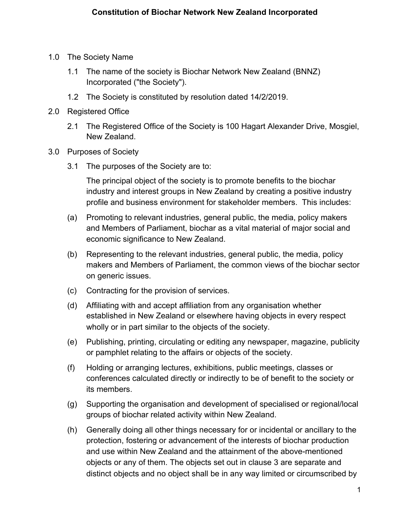- 1.0 The Society Name
	- 1.1 The name of the society is Biochar Network New Zealand (BNNZ) Incorporated ("the Society").
	- 1.2 The Society is constituted by resolution dated 14/2/2019.
- 2.0 Registered Office
	- 2.1 The Registered Office of the Society is 100 Hagart Alexander Drive, Mosgiel, New Zealand.
- 3.0 Purposes of Society
	- 3.1 The purposes of the Society are to:

The principal object of the society is to promote benefits to the biochar industry and interest groups in New Zealand by creating a positive industry profile and business environment for stakeholder members. This includes:

- (a) Promoting to relevant industries, general public, the media, policy makers and Members of Parliament, biochar as a vital material of major social and economic significance to New Zealand.
- (b) Representing to the relevant industries, general public, the media, policy makers and Members of Parliament, the common views of the biochar sector on generic issues.
- (c) Contracting for the provision of services.
- (d) Affiliating with and accept affiliation from any organisation whether established in New Zealand or elsewhere having objects in every respect wholly or in part similar to the objects of the society.
- (e) Publishing, printing, circulating or editing any newspaper, magazine, publicity or pamphlet relating to the affairs or objects of the society.
- (f) Holding or arranging lectures, exhibitions, public meetings, classes or conferences calculated directly or indirectly to be of benefit to the society or its members.
- (g) Supporting the organisation and development of specialised or regional/local groups of biochar related activity within New Zealand.
- (h) Generally doing all other things necessary for or incidental or ancillary to the protection, fostering or advancement of the interests of biochar production and use within New Zealand and the attainment of the above-mentioned objects or any of them. The objects set out in clause 3 are separate and distinct objects and no object shall be in any way limited or circumscribed by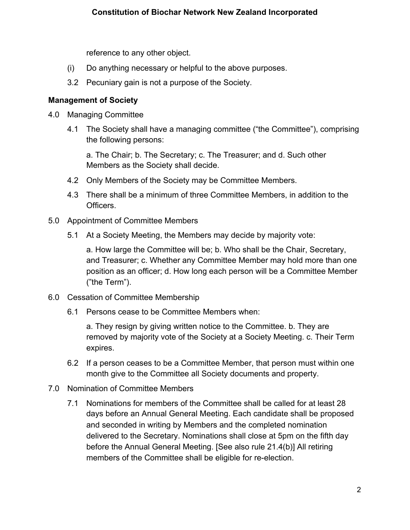reference to any other object.

- (i) Do anything necessary or helpful to the above purposes.
- 3.2 Pecuniary gain is not a purpose of the Society.

### **Management of Society**

- 4.0 Managing Committee
	- 4.1 The Society shall have a managing committee ("the Committee"), comprising the following persons:

a. The Chair; b. The Secretary; c. The Treasurer; and d. Such other Members as the Society shall decide.

- 4.2 Only Members of the Society may be Committee Members.
- 4.3 There shall be a minimum of three Committee Members, in addition to the Officers.
- 5.0 Appointment of Committee Members
	- 5.1 At a Society Meeting, the Members may decide by majority vote:

a. How large the Committee will be; b. Who shall be the Chair, Secretary, and Treasurer; c. Whether any Committee Member may hold more than one position as an officer; d. How long each person will be a Committee Member ("the Term").

- 6.0 Cessation of Committee Membership
	- 6.1 Persons cease to be Committee Members when:

a. They resign by giving written notice to the Committee. b. They are removed by majority vote of the Society at a Society Meeting. c. Their Term expires.

- 6.2 If a person ceases to be a Committee Member, that person must within one month give to the Committee all Society documents and property.
- 7.0 Nomination of Committee Members
	- 7.1 Nominations for members of the Committee shall be called for at least 28 days before an Annual General Meeting. Each candidate shall be proposed and seconded in writing by Members and the completed nomination delivered to the Secretary. Nominations shall close at 5pm on the fifth day before the Annual General Meeting. [See also rule 21.4(b)] All retiring members of the Committee shall be eligible for re-election.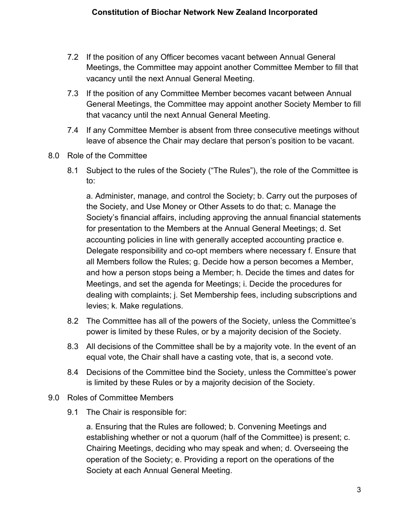- 7.2 If the position of any Officer becomes vacant between Annual General Meetings, the Committee may appoint another Committee Member to fill that vacancy until the next Annual General Meeting.
- 7.3 If the position of any Committee Member becomes vacant between Annual General Meetings, the Committee may appoint another Society Member to fill that vacancy until the next Annual General Meeting.
- 7.4 If any Committee Member is absent from three consecutive meetings without leave of absence the Chair may declare that person's position to be vacant.
- 8.0 Role of the Committee
	- 8.1 Subject to the rules of the Society ("The Rules"), the role of the Committee is to:

a. Administer, manage, and control the Society; b. Carry out the purposes of the Society, and Use Money or Other Assets to do that; c. Manage the Society's financial affairs, including approving the annual financial statements for presentation to the Members at the Annual General Meetings; d. Set accounting policies in line with generally accepted accounting practice e. Delegate responsibility and co-opt members where necessary f. Ensure that all Members follow the Rules; g. Decide how a person becomes a Member, and how a person stops being a Member; h. Decide the times and dates for Meetings, and set the agenda for Meetings; i. Decide the procedures for dealing with complaints; j. Set Membership fees, including subscriptions and levies; k. Make regulations.

- 8.2 The Committee has all of the powers of the Society, unless the Committee's power is limited by these Rules, or by a majority decision of the Society.
- 8.3 All decisions of the Committee shall be by a majority vote. In the event of an equal vote, the Chair shall have a casting vote, that is, a second vote.
- 8.4 Decisions of the Committee bind the Society, unless the Committee's power is limited by these Rules or by a majority decision of the Society.
- 9.0 Roles of Committee Members
	- 9.1 The Chair is responsible for:

a. Ensuring that the Rules are followed; b. Convening Meetings and establishing whether or not a quorum (half of the Committee) is present; c. Chairing Meetings, deciding who may speak and when; d. Overseeing the operation of the Society; e. Providing a report on the operations of the Society at each Annual General Meeting.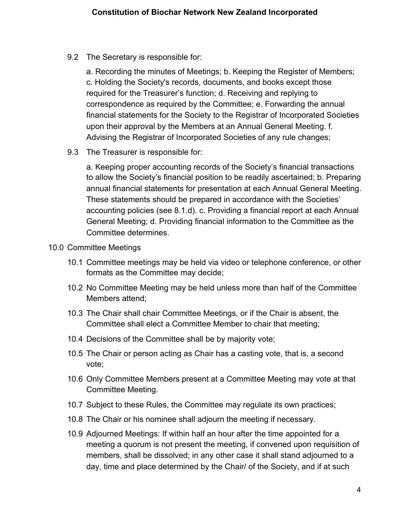9.2 The Secretary is responsible for:

a. Recording the minutes of Meetings; b. Keeping the Register of Members; c. Holding the Society's records, documents, and books except those required for the Treasurer's function; d. Receiving and replying to correspondence as required by the Committee; e. Forwarding the annual financial statements for the Society to the Registrar of Incorporated Societies upon their approval by the Members at an Annual General Meeting. f. Advising the Registrar of Incorporated Societies of any rule changes;

9.3 The Treasurer is responsible for:

a. Keeping proper accounting records of the Society's financial transactions to allow the Society's financial position to be readily ascertained; b. Preparing annual financial statements for presentation at each Annual General Meeting. These statements should be prepared in accordance with the Societies' accounting policies (see 8.1.d). c. Providing a financial report at each Annual General Meeting; d. Providing financial information to the Committee as the Committee determines.

### 10.0 Committee Meetings

- 10.1 Committee meetings may be held via video or telephone conference, or other formats as the Committee may decide;
- 10.2 No Committee Meeting may be held unless more than half of the Committee Members attend;
- 10.3 The Chair shall chair Committee Meetings, or if the Chair is absent, the Committee shall elect a Committee Member to chair that meeting;
- 10.4 Decisions of the Committee shall be by majority vote;
- 10.5 The Chair or person acting as Chair has a casting vote, that is, a second vote;
- 10.6 Only Committee Members present at a Committee Meeting may vote at that Committee Meeting.
- 10.7 Subject to these Rules, the Committee may regulate its own practices;
- 10.8 The Chair or his nominee shall adjourn the meeting if necessary.
- 10.9 Adjourned Meetings: If within half an hour after the time appointed for a meeting a quorum is not present the meeting, if convened upon requisition of members, shall be dissolved; in any other case it shall stand adjourned to a day, time and place determined by the Chair/ of the Society, and if at such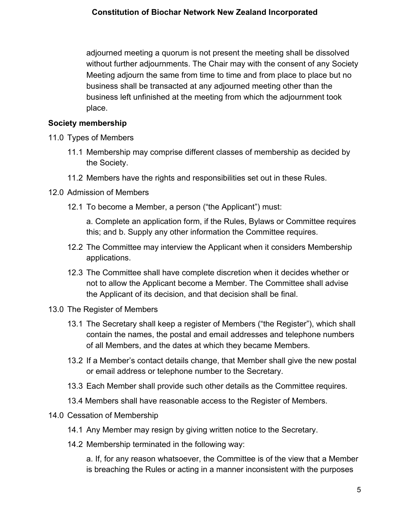### **Constitution of Biochar Network New Zealand Incorporated**

adjourned meeting a quorum is not present the meeting shall be dissolved without further adjournments. The Chair may with the consent of any Society Meeting adjourn the same from time to time and from place to place but no business shall be transacted at any adjourned meeting other than the business left unfinished at the meeting from which the adjournment took place.

### **Society membership**

- 11.0 Types of Members
	- 11.1 Membership may comprise different classes of membership as decided by the Society.
	- 11.2 Members have the rights and responsibilities set out in these Rules.
- 12.0 Admission of Members
	- 12.1 To become a Member, a person ("the Applicant") must:

a. Complete an application form, if the Rules, Bylaws or Committee requires this; and b. Supply any other information the Committee requires.

- 12.2 The Committee may interview the Applicant when it considers Membership applications.
- 12.3 The Committee shall have complete discretion when it decides whether or not to allow the Applicant become a Member. The Committee shall advise the Applicant of its decision, and that decision shall be final.
- 13.0 The Register of Members
	- 13.1 The Secretary shall keep a register of Members ("the Register"), which shall contain the names, the postal and email addresses and telephone numbers of all Members, and the dates at which they became Members.
	- 13.2 If a Member's contact details change, that Member shall give the new postal or email address or telephone number to the Secretary.
	- 13.3 Each Member shall provide such other details as the Committee requires.
	- 13.4 Members shall have reasonable access to the Register of Members.

#### 14.0 Cessation of Membership

- 14.1 Any Member may resign by giving written notice to the Secretary.
- 14.2 Membership terminated in the following way:

a. If, for any reason whatsoever, the Committee is of the view that a Member is breaching the Rules or acting in a manner inconsistent with the purposes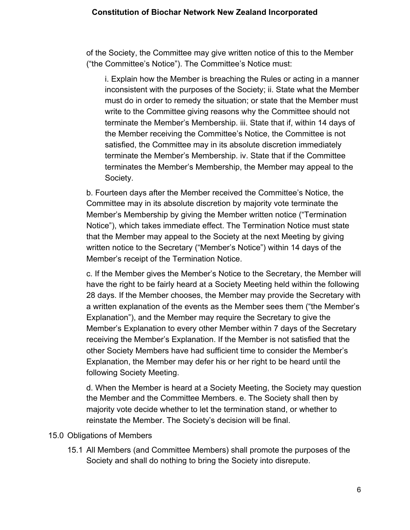of the Society, the Committee may give written notice of this to the Member ("the Committee's Notice"). The Committee's Notice must:

i. Explain how the Member is breaching the Rules or acting in a manner inconsistent with the purposes of the Society; ii. State what the Member must do in order to remedy the situation; or state that the Member must write to the Committee giving reasons why the Committee should not terminate the Member's Membership. iii. State that if, within 14 days of the Member receiving the Committee's Notice, the Committee is not satisfied, the Committee may in its absolute discretion immediately terminate the Member's Membership. iv. State that if the Committee terminates the Member's Membership, the Member may appeal to the Society.

b. Fourteen days after the Member received the Committee's Notice, the Committee may in its absolute discretion by majority vote terminate the Member's Membership by giving the Member written notice ("Termination Notice"), which takes immediate effect. The Termination Notice must state that the Member may appeal to the Society at the next Meeting by giving written notice to the Secretary ("Member's Notice") within 14 days of the Member's receipt of the Termination Notice.

c. If the Member gives the Member's Notice to the Secretary, the Member will have the right to be fairly heard at a Society Meeting held within the following 28 days. If the Member chooses, the Member may provide the Secretary with a written explanation of the events as the Member sees them ("the Member's Explanation"), and the Member may require the Secretary to give the Member's Explanation to every other Member within 7 days of the Secretary receiving the Member's Explanation. If the Member is not satisfied that the other Society Members have had sufficient time to consider the Member's Explanation, the Member may defer his or her right to be heard until the following Society Meeting.

d. When the Member is heard at a Society Meeting, the Society may question the Member and the Committee Members. e. The Society shall then by majority vote decide whether to let the termination stand, or whether to reinstate the Member. The Society's decision will be final.

### 15.0 Obligations of Members

15.1 All Members (and Committee Members) shall promote the purposes of the Society and shall do nothing to bring the Society into disrepute.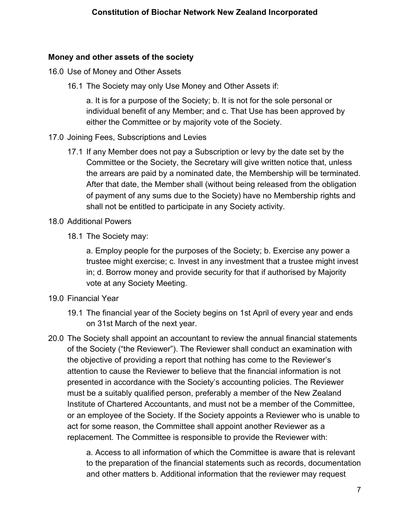## **Money and other assets of the society**

- 16.0 Use of Money and Other Assets
	- 16.1 The Society may only Use Money and Other Assets if:

a. It is for a purpose of the Society; b. It is not for the sole personal or individual benefit of any Member; and c. That Use has been approved by either the Committee or by majority vote of the Society.

- 17.0 Joining Fees, Subscriptions and Levies
	- 17.1 If any Member does not pay a Subscription or levy by the date set by the Committee or the Society, the Secretary will give written notice that, unless the arrears are paid by a nominated date, the Membership will be terminated. After that date, the Member shall (without being released from the obligation of payment of any sums due to the Society) have no Membership rights and shall not be entitled to participate in any Society activity.
- 18.0 Additional Powers
	- 18.1 The Society may:

a. Employ people for the purposes of the Society; b. Exercise any power a trustee might exercise; c. Invest in any investment that a trustee might invest in; d. Borrow money and provide security for that if authorised by Majority vote at any Society Meeting.

- 19.0 Financial Year
	- 19.1 The financial year of the Society begins on 1st April of every year and ends on 31st March of the next year.
- 20.0 The Society shall appoint an accountant to review the annual financial statements of the Society ("the Reviewer"). The Reviewer shall conduct an examination with the objective of providing a report that nothing has come to the Reviewer's attention to cause the Reviewer to believe that the financial information is not presented in accordance with the Society's accounting policies. The Reviewer must be a suitably qualified person, preferably a member of the New Zealand Institute of Chartered Accountants, and must not be a member of the Committee, or an employee of the Society. If the Society appoints a Reviewer who is unable to act for some reason, the Committee shall appoint another Reviewer as a replacement. The Committee is responsible to provide the Reviewer with:

a. Access to all information of which the Committee is aware that is relevant to the preparation of the financial statements such as records, documentation and other matters b. Additional information that the reviewer may request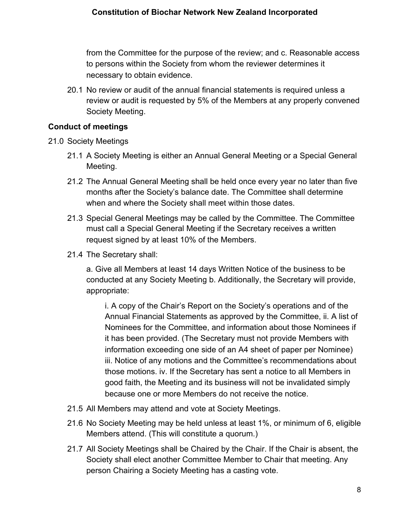from the Committee for the purpose of the review; and c. Reasonable access to persons within the Society from whom the reviewer determines it necessary to obtain evidence.

20.1 No review or audit of the annual financial statements is required unless a review or audit is requested by 5% of the Members at any properly convened Society Meeting.

## **Conduct of meetings**

- 21.0 Society Meetings
	- 21.1 A Society Meeting is either an Annual General Meeting or a Special General Meeting.
	- 21.2 The Annual General Meeting shall be held once every year no later than five months after the Society's balance date. The Committee shall determine when and where the Society shall meet within those dates.
	- 21.3 Special General Meetings may be called by the Committee. The Committee must call a Special General Meeting if the Secretary receives a written request signed by at least 10% of the Members.
	- 21.4 The Secretary shall:

a. Give all Members at least 14 days Written Notice of the business to be conducted at any Society Meeting b. Additionally, the Secretary will provide, appropriate:

i. A copy of the Chair's Report on the Society's operations and of the Annual Financial Statements as approved by the Committee, ii. A list of Nominees for the Committee, and information about those Nominees if it has been provided. (The Secretary must not provide Members with information exceeding one side of an A4 sheet of paper per Nominee) iii. Notice of any motions and the Committee's recommendations about those motions. iv. If the Secretary has sent a notice to all Members in good faith, the Meeting and its business will not be invalidated simply because one or more Members do not receive the notice.

- 21.5 All Members may attend and vote at Society Meetings.
- 21.6 No Society Meeting may be held unless at least 1%, or minimum of 6, eligible Members attend. (This will constitute a quorum.)
- 21.7 All Society Meetings shall be Chaired by the Chair. If the Chair is absent, the Society shall elect another Committee Member to Chair that meeting. Any person Chairing a Society Meeting has a casting vote.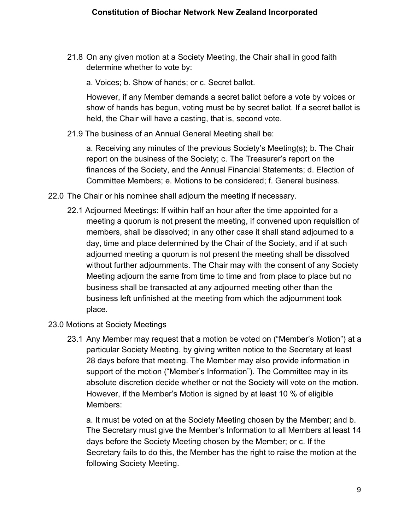21.8 On any given motion at a Society Meeting, the Chair shall in good faith determine whether to vote by:

a. Voices; b. Show of hands; or c. Secret ballot.

However, if any Member demands a secret ballot before a vote by voices or show of hands has begun, voting must be by secret ballot. If a secret ballot is held, the Chair will have a casting, that is, second vote.

21.9 The business of an Annual General Meeting shall be:

a. Receiving any minutes of the previous Society's Meeting(s); b. The Chair report on the business of the Society; c. The Treasurer's report on the finances of the Society, and the Annual Financial Statements; d. Election of Committee Members; e. Motions to be considered; f. General business.

- 22.0 The Chair or his nominee shall adjourn the meeting if necessary.
	- 22.1 Adjourned Meetings: If within half an hour after the time appointed for a meeting a quorum is not present the meeting, if convened upon requisition of members, shall be dissolved; in any other case it shall stand adjourned to a day, time and place determined by the Chair of the Society, and if at such adjourned meeting a quorum is not present the meeting shall be dissolved without further adjournments. The Chair may with the consent of any Society Meeting adjourn the same from time to time and from place to place but no business shall be transacted at any adjourned meeting other than the business left unfinished at the meeting from which the adjournment took place.
- 23.0 Motions at Society Meetings
	- 23.1 Any Member may request that a motion be voted on ("Member's Motion") at a particular Society Meeting, by giving written notice to the Secretary at least 28 days before that meeting. The Member may also provide information in support of the motion ("Member's Information"). The Committee may in its absolute discretion decide whether or not the Society will vote on the motion. However, if the Member's Motion is signed by at least 10 % of eligible Members:

a. It must be voted on at the Society Meeting chosen by the Member; and b. The Secretary must give the Member's Information to all Members at least 14 days before the Society Meeting chosen by the Member; or c. If the Secretary fails to do this, the Member has the right to raise the motion at the following Society Meeting.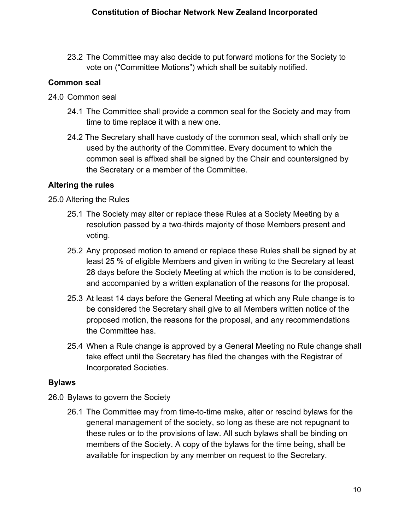23.2 The Committee may also decide to put forward motions for the Society to vote on ("Committee Motions") which shall be suitably notified.

## **Common seal**

- 24.0 Common seal
	- 24.1 The Committee shall provide a common seal for the Society and may from time to time replace it with a new one.
	- 24.2 The Secretary shall have custody of the common seal, which shall only be used by the authority of the Committee. Every document to which the common seal is affixed shall be signed by the Chair and countersigned by the Secretary or a member of the Committee.

## **Altering the rules**

25.0 Altering the Rules

- 25.1 The Society may alter or replace these Rules at a Society Meeting by a resolution passed by a two-thirds majority of those Members present and voting.
- 25.2 Any proposed motion to amend or replace these Rules shall be signed by at least 25 % of eligible Members and given in writing to the Secretary at least 28 days before the Society Meeting at which the motion is to be considered, and accompanied by a written explanation of the reasons for the proposal.
- 25.3 At least 14 days before the General Meeting at which any Rule change is to be considered the Secretary shall give to all Members written notice of the proposed motion, the reasons for the proposal, and any recommendations the Committee has.
- 25.4 When a Rule change is approved by a General Meeting no Rule change shall take effect until the Secretary has filed the changes with the Registrar of Incorporated Societies.

### **Bylaws**

- 26.0 Bylaws to govern the Society
	- 26.1 The Committee may from time-to-time make, alter or rescind bylaws for the general management of the society, so long as these are not repugnant to these rules or to the provisions of law. All such bylaws shall be binding on members of the Society. A copy of the bylaws for the time being, shall be available for inspection by any member on request to the Secretary.